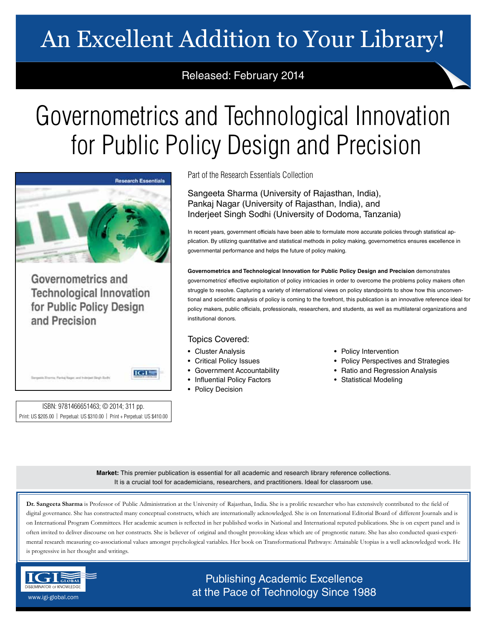# An Excellent Addition to Your Library!

## Released: February 2014

# Governometrics and Technological Innovation for Public Policy Design and Precision



Governometrics and **Technological Innovation** for Public Policy Design and Precision

ISBN: 9781466651463; © 2014; 311 pp. Print: US \$205.00 | Perpetual: US \$310.00 | Print + Perpetual: US \$410.00

 $IGI<sup>2</sup>$ 

Part of the Research Essentials Collection

Sangeeta Sharma (University of Rajasthan, India), Pankaj Nagar (University of Rajasthan, India), and Inderjeet Singh Sodhi (University of Dodoma, Tanzania)

In recent years, government officials have been able to formulate more accurate policies through statistical application. By utilizing quantitative and statistical methods in policy making, governometrics ensures excellence in governmental performance and helps the future of policy making.

**Governometrics and Technological Innovation for Public Policy Design and Precision** demonstrates governometrics' effective exploitation of policy intricacies in order to overcome the problems policy makers often struggle to resolve. Capturing a variety of international views on policy standpoints to show how this unconventional and scientific analysis of policy is coming to the forefront, this publication is an innovative reference ideal for policy makers, public officials, professionals, researchers, and students, as well as multilateral organizations and institutional donors.

### Topics Covered:

- Cluster Analysis
- Critical Policy Issues
- Government Accountability
- Influential Policy Factors
- Policy Decision
- Policy Intervention
- Policy Perspectives and Strategies
- Ratio and Regression Analysis
- Statistical Modeling

**Market:** This premier publication is essential for all academic and research library reference collections. It is a crucial tool for academicians, researchers, and practitioners. Ideal for classroom use.

**Dr. Sangeeta Sharma** is Professor of Public Administration at the University of Rajasthan, India. She is a prolific researcher who has extensively contributed to the field of digital governance. She has constructed many conceptual constructs, which are internationally acknowledged. She is on International Editorial Board of different Journals and is on International Program Committees. Her academic acumen is reflected in her published works in National and International reputed publications. She is on expert panel and is often invited to deliver discourse on her constructs. She is believer of original and thought provoking ideas which are of prognostic nature. She has also conducted quasi-experimental research measuring co-associational values amongst psychological variables. Her book on Transformational Pathways: Attainable Utopias is a well acknowledged work. He is progressive in her thought and writings.



Publishing Academic Excellence **at the Pace of Technology Since 1988** www.igi-global.com